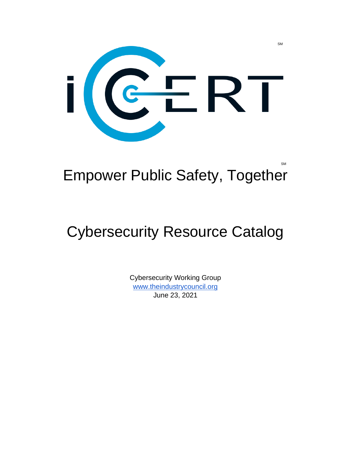

#### SM and the state of the state of the state of the state of the state of the state of the state of the state of Empower Public Safety, Together

# Cybersecurity Resource Catalog

Cybersecurity Working Group [www.theindustrycouncil.org](http://www.theindustrycouncil.org/) June 23, 2021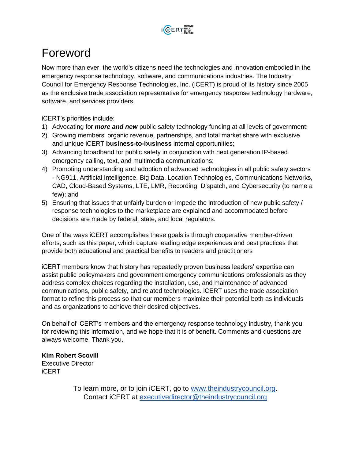

#### Foreword

Now more than ever, the world's citizens need the technologies and innovation embodied in the emergency response technology, software, and communications industries. The Industry Council for Emergency Response Technologies, Inc. (iCERT) is proud of its history since 2005 as the exclusive trade association representative for emergency response technology hardware, software, and services providers.

iCERT's priorities include:

- 1) Advocating for *more and new* public safety technology funding at all levels of government;
- 2) Growing members' organic revenue, partnerships, and total market share with exclusive and unique iCERT **business-to-business** internal opportunities;
- 3) Advancing broadband for public safety in conjunction with next generation IP-based emergency calling, text, and multimedia communications;
- 4) Promoting understanding and adoption of advanced technologies in all public safety sectors - NG911, Artificial Intelligence, Big Data, Location Technologies, Communications Networks, CAD, Cloud-Based Systems, LTE, LMR, Recording, Dispatch, and Cybersecurity (to name a few); and
- 5) Ensuring that issues that unfairly burden or impede the introduction of new public safety / response technologies to the marketplace are explained and accommodated before decisions are made by federal, state, and local regulators.

One of the ways iCERT accomplishes these goals is through cooperative member-driven efforts, such as this paper, which capture leading edge experiences and best practices that provide both educational and practical benefits to readers and practitioners

iCERT members know that history has repeatedly proven business leaders' expertise can assist public policymakers and government emergency communications professionals as they address complex choices regarding the installation, use, and maintenance of advanced communications, public safety, and related technologies. iCERT uses the trade association format to refine this process so that our members maximize their potential both as individuals and as organizations to achieve their desired objectives.

On behalf of iCERT's members and the emergency response technology industry, thank you for reviewing this information, and we hope that it is of benefit. Comments and questions are always welcome. Thank you.

**Kim Robert Scovill** Executive Director iCERT

> To learn more, or to join iCERT, go to [www.theindustrycouncil.org.](http://www.theindustrycouncil.org/) Contact iCERT at [executivedirector@theindustrycouncil.org](mailto:executivedirector@theindustrycouncil.org)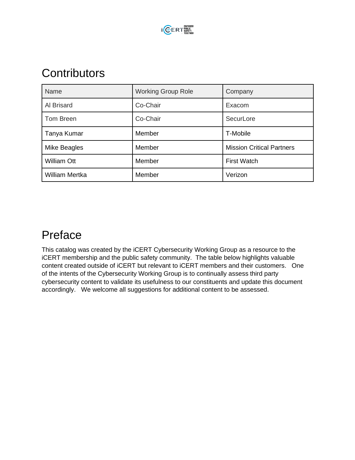

### **Contributors**

| Name                  | <b>Working Group Role</b> | Company                          |  |
|-----------------------|---------------------------|----------------------------------|--|
| Al Brisard            | Co-Chair                  | Exacom                           |  |
| Tom Breen             | Co-Chair                  | SecurLore                        |  |
| Tanya Kumar           | Member                    | T-Mobile                         |  |
| Mike Beagles          | Member                    | <b>Mission Critical Partners</b> |  |
| <b>William Ott</b>    | Member                    | <b>First Watch</b>               |  |
| <b>William Mertka</b> | Member                    | Verizon                          |  |

## Preface

This catalog was created by the iCERT Cybersecurity Working Group as a resource to the iCERT membership and the public safety community. The table below highlights valuable content created outside of iCERT but relevant to iCERT members and their customers. One of the intents of the Cybersecurity Working Group is to continually assess third party cybersecurity content to validate its usefulness to our constituents and update this document accordingly. We welcome all suggestions for additional content to be assessed.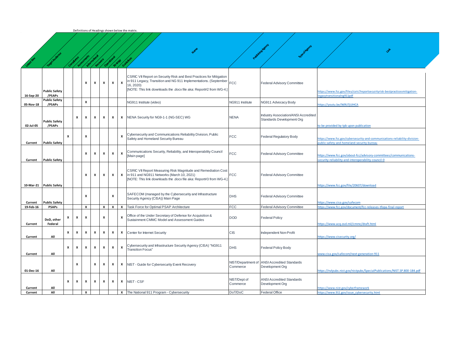|  | Definitions of Headings shown below the matrix.   |  |  |  |  |
|--|---------------------------------------------------|--|--|--|--|
|  |                                                   |  |  |  |  |
|  |                                                   |  |  |  |  |
|  | 50<br>e Co<br>-88<br><b>START</b><br>- 23<br>- 77 |  |  |  |  |

|           | <b>Target Audience</b>         | Comptione    |                    |              |                  |                    | <b>Assembly Montgomery of Bridge</b> |                                                                                                                                                                                                                                                 |                                |                                                                   |                                                                                                                          |
|-----------|--------------------------------|--------------|--------------------|--------------|------------------|--------------------|--------------------------------------|-------------------------------------------------------------------------------------------------------------------------------------------------------------------------------------------------------------------------------------------------|--------------------------------|-------------------------------------------------------------------|--------------------------------------------------------------------------------------------------------------------------|
| 16-Sep-20 | <b>Public Safety</b><br>/PSAPs |              |                    | x            | х                | x                  | x                                    | CSRIC VII Report on Security Risk and Best Practices for Mitigation<br>in 911 Legacy, Transition and NG 911 Implementations. (September FCC<br>$\pmb{\chi}$<br>16, 2020)<br>[NOTE: This link downloads the .docx file aka: Report#2 from WG-4.] |                                | <b>Federal Advisory Committee</b>                                 | https://www.fcc.gov/files/csric7reportsecuirtyrisk-bestpracticesmitigation-<br>legacytransitionalng911pdf                |
| 05-Nov-18 | <b>Public Safety</b><br>/PSAPs |              |                    | x            |                  |                    |                                      | NG911 Institute (video)                                                                                                                                                                                                                         | NG911 Institute                | NG911 Advocacy Body                                               | https://youtu.be/9d9U7jUIHCA                                                                                             |
| 02-Jul-05 | <b>Public Safety</b><br>/PSAPs |              | X                  | X            | X                | $\boldsymbol{x}$   | x                                    | NENA Security for NG9-1-1 (NG-SEC) WG<br>x                                                                                                                                                                                                      | <b>NENA</b>                    | Industry Association/ANSI Accredited<br>Standards Development Org | to be provided by tpb upon publication                                                                                   |
| Current   | <b>Public Safety</b>           | x            |                    | x            |                  |                    |                                      | Cybersecurity and Communications Reliability Division, Public<br>x<br>Safety and Homeland Security Bureau                                                                                                                                       | <b>FCC</b>                     | <b>Federal Regulatory Body</b>                                    | https://www.fcc.gov/cybersecurity-and-communications-reliability-division-<br>public-safety-and-homeland-security-bureau |
| Current   | <b>Public Safety</b>           |              |                    | x            | X                | $\pmb{\mathsf{x}}$ | x                                    | Communications Security, Reliability, and Interoperability Council<br>X<br>[Main page]                                                                                                                                                          | <b>FCC</b>                     | Federal Advisory Committee                                        | https://www.fcc.gov/about-fcc/advisory-committees/communications-<br>ecurity-reliability-and-interoperability-council-0  |
|           | 10-Mar-21 Public Safety        |              |                    | x            | X                | $\pmb{\mathsf{x}}$ | $\pmb{\mathsf{x}}$                   | CSRIC VII Report Measuring Risk Magnitude and Remediation Cost<br>in 911 and NG911 Networks (March 10, 2021)<br>x<br>[NOTE: This link downloads the .docx file aka: Report#3 from WG-4.]                                                        | <b>FCC</b>                     | <b>Federal Advisory Committee</b>                                 | https://www.fcc.gov/file/20607/download                                                                                  |
| Current   | <b>Public Safety</b>           |              |                    | x            |                  |                    | x                                    | SAFECOM (managed by the Cybersecurity and Infrastructure<br>Security Agency (CISA)) Main Page                                                                                                                                                   | <b>DHS</b>                     | <b>Federal Advisory Committee</b>                                 | https://www.cisa.gov/safecom                                                                                             |
| 19-Feb-16 | <b>PSAPs</b>                   |              |                    | $\mathbf{x}$ |                  | $\mathsf{x}$       |                                      | <b>x</b>   <b>x</b>   Task Force for Optimal PSAP Architecture                                                                                                                                                                                  | <b>FCC</b>                     | <b>Federal Advisory Committee</b>                                 | https://www.fcc.gov/document/fcc-releases-tfopa-final-report                                                             |
| Current   | DoD, other<br>Federal          | x            | X                  | x            |                  | x                  |                                      | Office of the Under Secretary of Defense for Acquisition &<br>x<br>Sustainment CMMC Model and Assessment Guides                                                                                                                                 | <b>DOD</b>                     | <b>Federal Policy</b>                                             | https://www.acq.osd.mil/cmmc/draft.html                                                                                  |
| Current   | All                            | X            | X                  | x            | $\boldsymbol{x}$ | $\pmb{\mathsf{x}}$ | X                                    | x<br>Center for Internet Security                                                                                                                                                                                                               | CIS                            | Independent Non-Profit                                            | https://www.cisecurity.org/                                                                                              |
| Current   | All                            | $\mathbf{x}$ | $\boldsymbol{x}$   | x            | $\mathbf{x}$     | x                  | X                                    | Cybersecurity and Infrastructure Security Agency (CISA) "NG911<br>x<br><b>Transition Focus"</b>                                                                                                                                                 | <b>DHS</b>                     | <b>Federal Policy Body</b>                                        | www.cisa.gov/safecom/next-generation-911                                                                                 |
| 01-Dec-16 | All                            |              | $\pmb{\mathsf{x}}$ |              | $\boldsymbol{x}$ | x                  | X                                    | x<br>NIST - Guide for Cybersecurity Event Recovery                                                                                                                                                                                              | NIST/Department of<br>Commerce | <b>ANSI Accredited Standards</b><br>Development Org               | https://nylpubs.nist.gov/nistpubs/SpecialPublications/NIST.SP.800-184.pdf                                                |
| Current   | All                            | $\mathbf{x}$ | x                  | $\mathbf{x}$ | $\mathbf{x}$     | $\mathbf{x}$       | x                                    | NIST-CSF<br>x                                                                                                                                                                                                                                   | NIST/Dept of<br>Commerce       | <b>ANSI Accredited Standards</b><br>Development Org               | https://www.nist.gov/cyberframework                                                                                      |
| Current   | All                            |              |                    | x            |                  |                    |                                      | X The National 911 Program - Cybersecurity                                                                                                                                                                                                      | DoT/DoC                        | <b>Federal Office</b>                                             | https://www.911.gov/issue_cybersecurity.html                                                                             |

**Name of Agency Agency Agency Agency Agency Agency Agency Agency Agency Agency Agency Agency Agency Agency Agency**